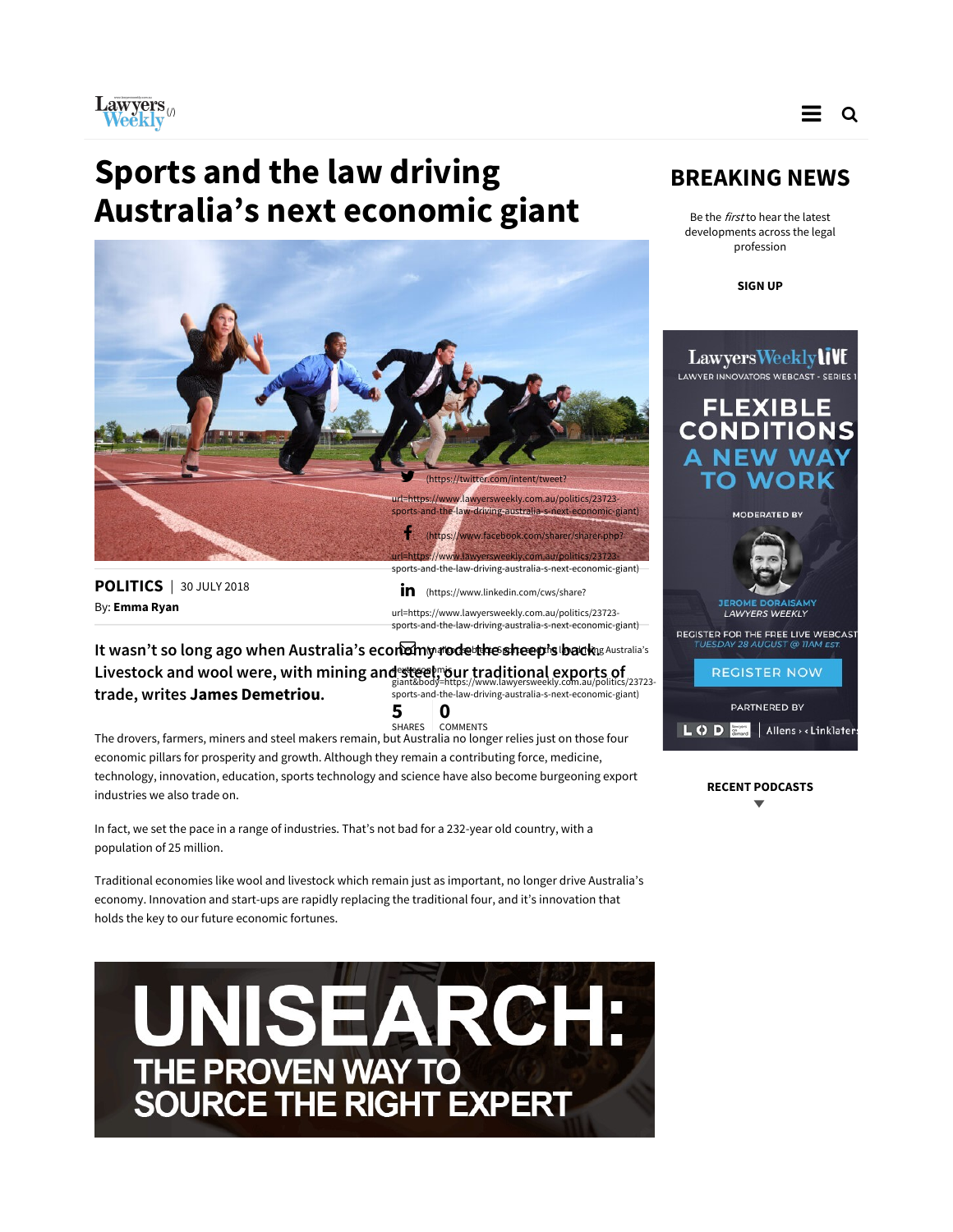

## Sports and the law driving Australia's next economic giant



POLITICS | 30 JULY 2018 By: Emma Ryan

in (https://www.linkedin.com/cws/share? url=https://www.lawyersweekly.com.au/politics/23723 sports-and-the-law-driving-australia-s-next-economic-giant)

It wasn't so long ago when Australia's economy rode the sheep's backs Australia's Livestock and wool were, with mining and steel, bur traditional exports of trade, writes James Demetriou. giant&body=https://www.lawyersweekly.com.au/politics/23723- sports-and-the-law-driving-australia-s-next-economic-giant)

5 **5**<br>Shares comments

The drovers, farmers, miners and steel makers remain, but Australia no longer relies just on those four economic pillars for prosperity and growth. Although they remain a contributing force, medicine, technology, innovation, education, sports technology and science have also become burgeoning export industries we also trade on.

In fact, we set the pace in a range of industries. That's not bad for a 232-year old country, with a population of 25 million.

Traditional economies like wool and livestock which remain just as important, no longer drive Australia's economy. Innovation and start-ups are rapidly replacing the traditional four, and it's innovation that holds the key to our future economic fortunes.

UNISEARCH: THE PROVEN WAY TO<br>SOURCE THE RIGHT EXPERT

## BREAKING NEWS

Be the *first* to hear the latest developments across the legal profession

SIGN UP



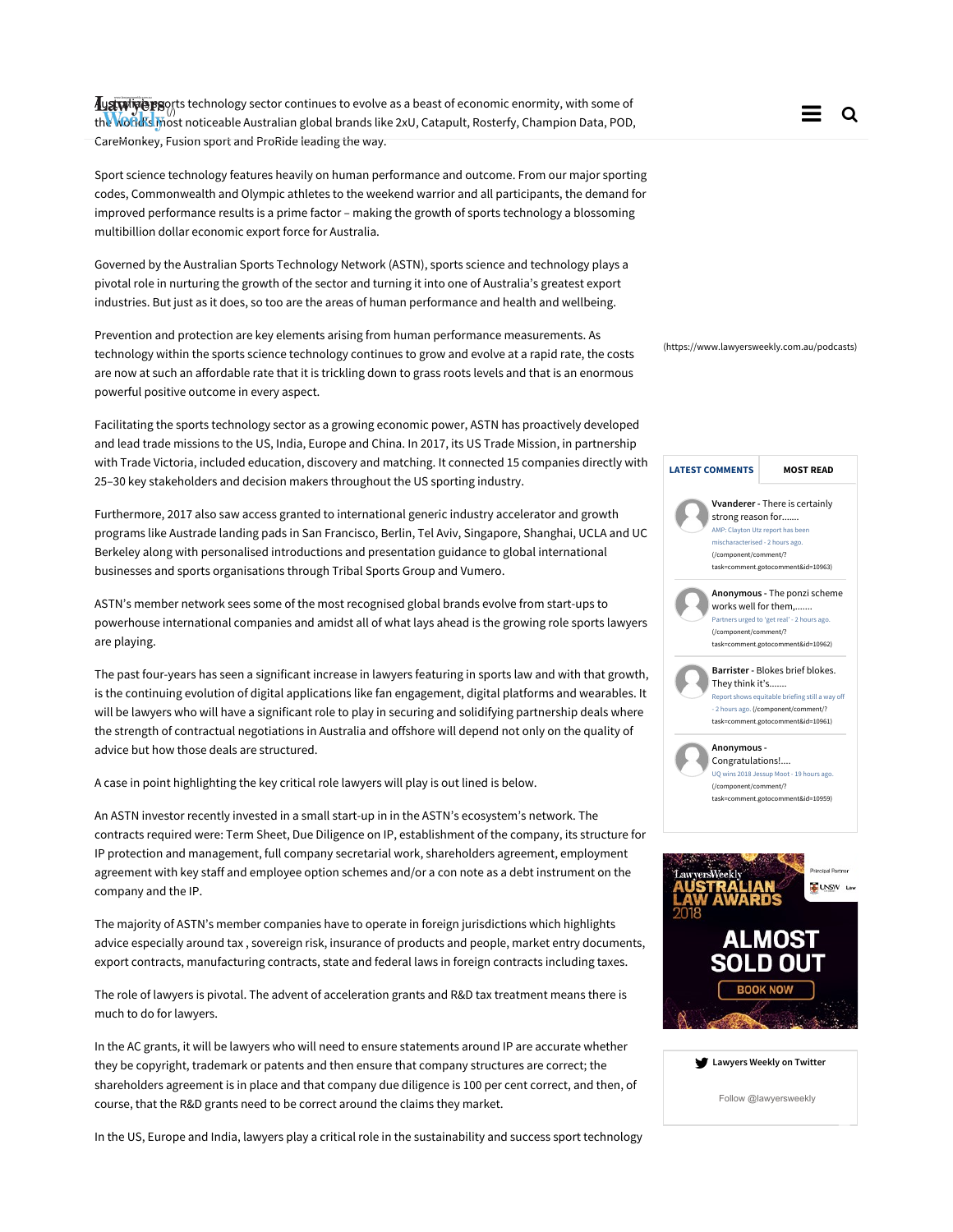Australian exports technology sector continues to evolve as a beast of economic enormity, with some of aust wipes apply to technology sector continues to evolve as a beast of economic enormity, with some of the co<br>the world's most noticeable Australian global brands like 2xU, Catapult, Rosterfy, Champion Data, POD, The Comp CareMonkey, Fusion sport and ProRide leading the way.

Sport science technology features heavily on human performance and outcome. From our major sporting codes, Commonwealth and Olympic athletes to the weekend warrior and all participants, the demand for improved performance results is a prime factor – making the growth of sports technology a blossoming multibillion dollar economic export force for Australia.

Governed by the Australian Sports Technology Network (ASTN), sports science and technology plays a pivotal role in nurturing the growth of the sector and turning it into one of Australia's greatest export industries. But just as it does, so too are the areas of human performance and health and wellbeing.

Prevention and protection are key elements arising from human performance measurements. As technology within the sports science technology continues to grow and evolve at a rapid rate, the costs are now at such an affordable rate that it is trickling down to grass roots levels and that is an enormous powerful positive outcome in every aspect.

Facilitating the sports technology sector as a growing economic power, ASTN has proactively developed and lead trade missions to the US, India, Europe and China. In 2017, its US Trade Mission, in partnership with Trade Victoria, included education, discovery and matching. It connected 15 companies directly with 25–30 key stakeholders and decision makers throughout the US sporting industry.

Furthermore, 2017 also saw access granted to international generic industry accelerator and growth programs like Austrade landing pads in San Francisco, Berlin, Tel Aviv, Singapore, Shanghai, UCLA and UC Berkeley along with personalised introductions and presentation guidance to global international businesses and sports organisations through Tribal Sports Group and Vumero.

ASTN's member network sees some of the most recognised global brands evolve from start-ups to powerhouse international companies and amidst all of what lays ahead is the growing role sports lawyers are playing.

The past four-years has seen a significant increase in lawyers featuring in sports law and with that growth, is the continuing evolution of digital applications like fan engagement, digital platforms and wearables. It will be lawyers who will have a significant role to play in securing and solidifying partnership deals where the strength of contractual negotiations in Australia and offshore will depend not only on the quality of advice but how those deals are structured.

A case in point highlighting the key critical role lawyers will play is out lined is below.

An ASTN investor recently invested in a small start-up in in the ASTN's ecosystem's network. The contracts required were: Term Sheet, Due Diligence on IP, establishment of the company, its structure for IP protection and management, full company secretarial work, shareholders agreement, employment agreement with key staff and employee option schemes and/or a con note as a debt instrument on the company and the IP.

The majority of ASTN's member companies have to operate in foreign jurisdictions which highlights advice especially around tax , sovereign risk, insurance of products and people, market entry documents, export contracts, manufacturing contracts, state and federal laws in foreign contracts including taxes.

The role of lawyers is pivotal. The advent of acceleration grants and R&D tax treatment means there is much to do for lawyers.

In the AC grants, it will be lawyers who will need to ensure statements around IP are accurate whether they be copyright, trademark or patents and then ensure that company structures are correct; the shareholders agreement is in place and that company due diligence is 100 per cent correct, and then, of course, that the R&D grants need to be correct around the claims they market.

In the US, Europe and India, lawyers play a critical role in the sustainability and success sport technology

(https://www.lawyersweekly.com.au/podcasts)



| Lawyers Weekly on Twitter |  |  |
|---------------------------|--|--|
|                           |  |  |

Follow @lawyersweekly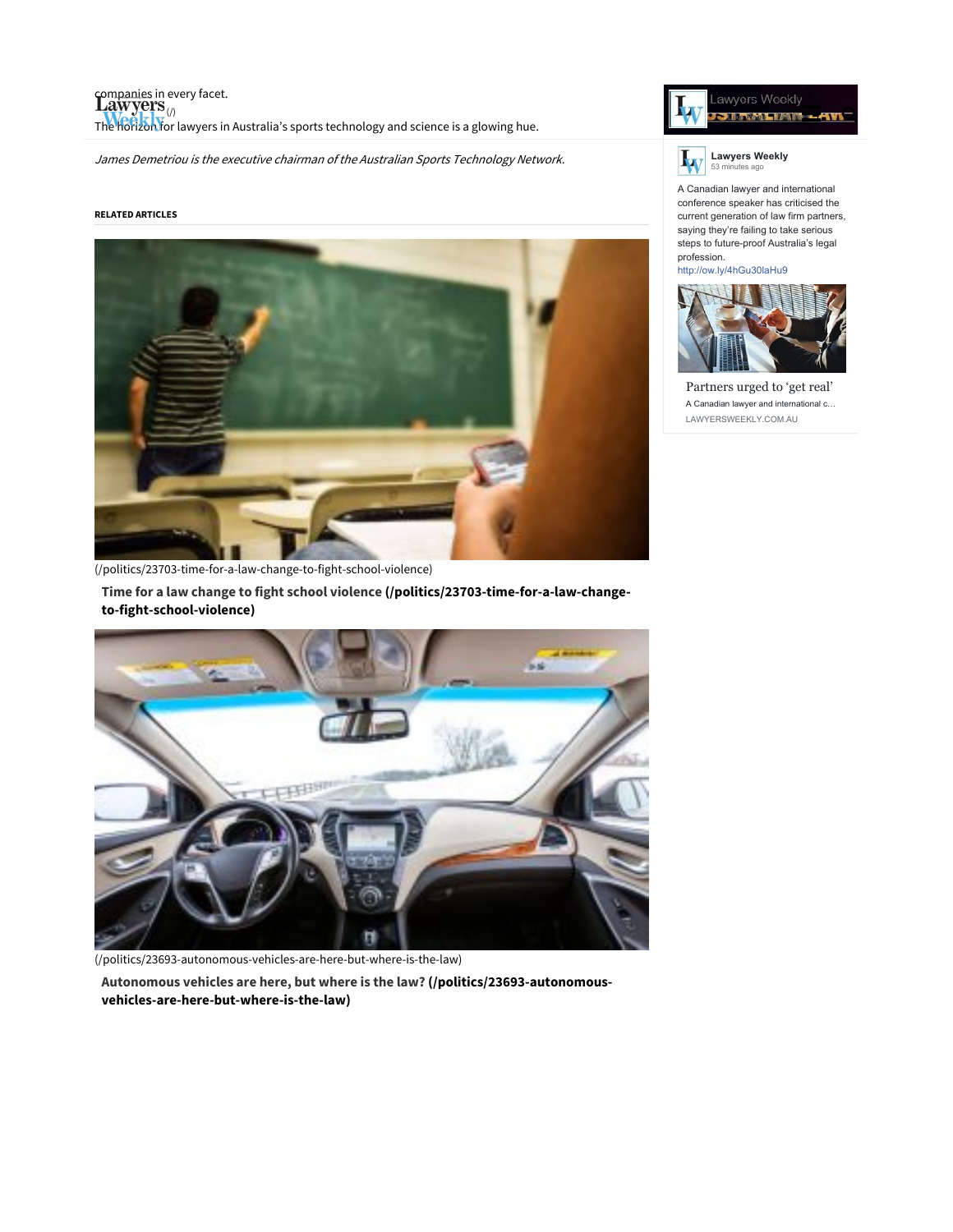companies in every facet. Liew years<br>The horizon for lawyers in Australia's sports technology and science is a glowing hue.

James Demetriou is the executive chairman of the Australian Sports Technology Network.

## RELATED ARTICLES



(/politics/23703-time-for-a-law-change-to-fight-school-violence)

Time for a law change to fight school violence (/politics/23703-time-for-a-law-changeto-fight-school-violence)



(/politics/23693-autonomous-vehicles-are-here-but-where-is-the-law)

Autonomous vehicles are here, but where is the law? (/politics/23693-autonomousvehicles-are-here-but-where-is-the-law)





A Canadian lawyer and international conference speaker has criticised the current generation of law firm partners, saying they're failing to take serious steps to future-proof Australia's legal profession.

http://ow.ly/4hGu30laHu9



Partners urged to 'get real' A Canadian lawyer and international c… LAWYERSWEEKLY.COM.AU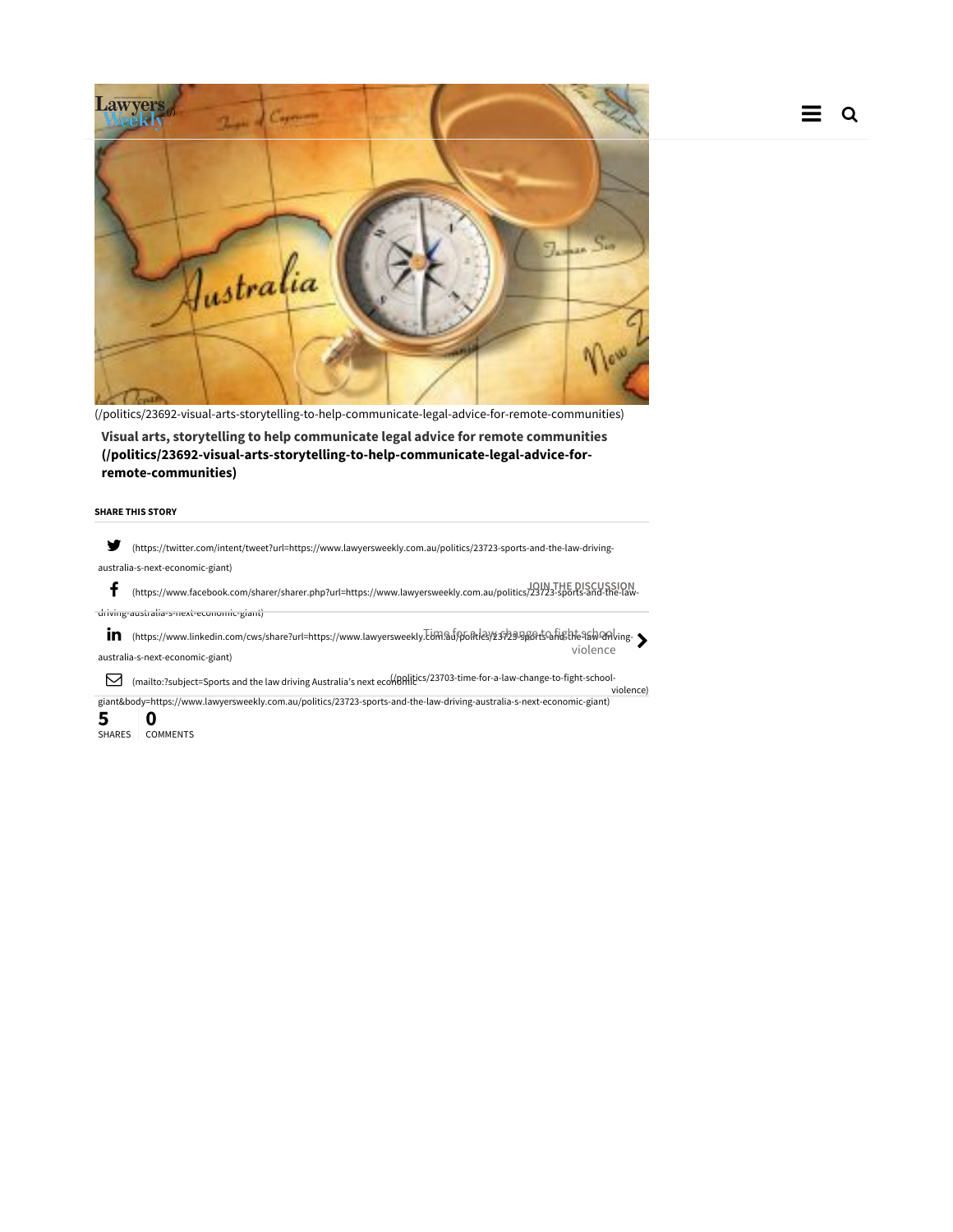



(/politics/23692-visual-arts-storytelling-to-help-communicate-legal-advice-for-remote-communities)

Visual arts, storytelling to help communicate legal advice for remote communities (/politics/23692-visual-arts-storytelling-to-help-communicate-legal-advice-forremote-communities)

## SHARE THIS STORY

 (https://twitter.com/intent/tweet?url=https://www.lawyersweekly.com.au/politics/23723-sports-and-the-law-drivingaustralia-s-next-economic-giant)

 (https://www.facebook.com/sharer/sharer.php?url=https://www.lawyersweekly.com.au/politics/23723-sports-and-the-law-JOIN THE DISCUSSION driving-australia-s-next-economic-giant)

in (https://www.linkedin.com/cws/share?url=https://www.lawyersweekly.TUM9ifp6ftldey)137294B6ft54hEhte9blv9fslig<br>جماعتها australia-s-next-economic-giant) violence

 $\triangledown$  (mailto:?subject=Sports and the law driving Australia's next ecomphitics/23703-time-for-a-law-change-to-fight-schoolviolence)

giant&body=https://www.lawyersweekly.com.au/politics/23723-sports-and-the-law-driving-australia-s-next-economic-giant)

5 **5** 0<br>Shares comments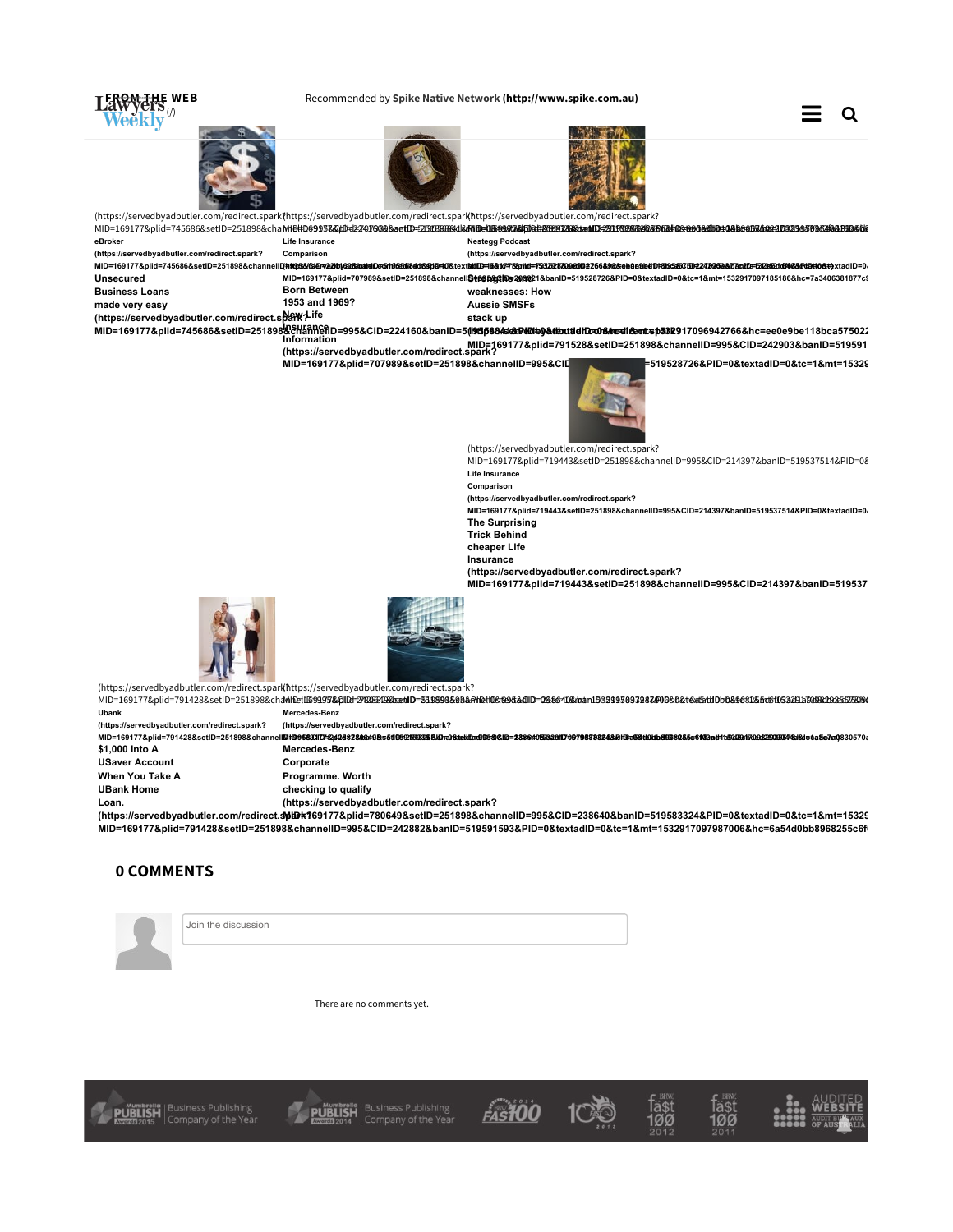

There are no comments yet.